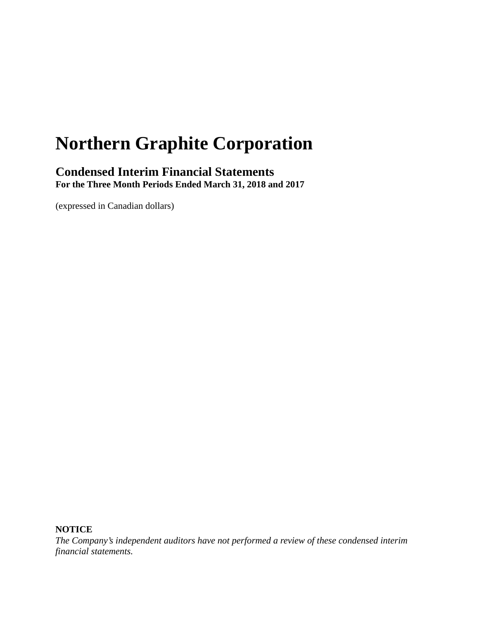# **Northern Graphite Corporation**

### **Condensed Interim Financial Statements For the Three Month Periods Ended March 31, 2018 and 2017**

(expressed in Canadian dollars)

**NOTICE**

*The Company's independent auditors have not performed a review of these condensed interim financial statements.*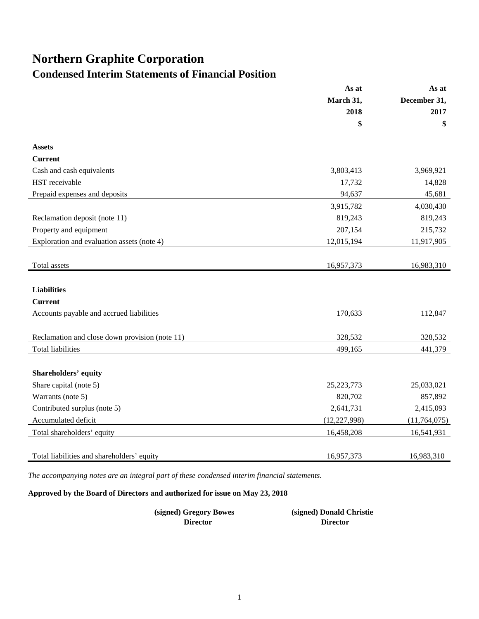## **Northern Graphite Corporation**

### **Condensed Interim Statements of Financial Position**

|                                                | As at          | As at<br>December 31, |  |
|------------------------------------------------|----------------|-----------------------|--|
|                                                | March 31,      |                       |  |
|                                                | 2018           | 2017                  |  |
|                                                | \$             | \$                    |  |
| <b>Assets</b>                                  |                |                       |  |
| <b>Current</b>                                 |                |                       |  |
| Cash and cash equivalents                      | 3,803,413      | 3,969,921             |  |
| HST receivable                                 | 17,732         | 14,828                |  |
| Prepaid expenses and deposits                  | 94,637         | 45,681                |  |
|                                                | 3,915,782      | 4,030,430             |  |
| Reclamation deposit (note 11)                  | 819,243        | 819,243               |  |
| Property and equipment                         | 207,154        | 215,732               |  |
| Exploration and evaluation assets (note 4)     | 12,015,194     | 11,917,905            |  |
|                                                |                |                       |  |
| Total assets                                   | 16,957,373     | 16,983,310            |  |
|                                                |                |                       |  |
| <b>Liabilities</b>                             |                |                       |  |
| <b>Current</b>                                 |                |                       |  |
| Accounts payable and accrued liabilities       | 170,633        | 112,847               |  |
|                                                |                |                       |  |
| Reclamation and close down provision (note 11) | 328,532        | 328,532               |  |
| <b>Total liabilities</b>                       | 499,165        | 441,379               |  |
|                                                |                |                       |  |
| <b>Shareholders' equity</b>                    |                |                       |  |
| Share capital (note 5)                         | 25, 223, 773   | 25,033,021            |  |
| Warrants (note 5)                              | 820,702        | 857,892               |  |
| Contributed surplus (note 5)                   | 2,641,731      | 2,415,093             |  |
| Accumulated deficit                            | (12, 227, 998) | (11, 764, 075)        |  |
| Total shareholders' equity                     | 16,458,208     | 16,541,931            |  |
|                                                |                |                       |  |
| Total liabilities and shareholders' equity     | 16,957,373     | 16,983,310            |  |

*The accompanying notes are an integral part of these condensed interim financial statements.*

**Approved by the Board of Directors and authorized for issue on May 23, 2018**

| (signed) Gregory Bowes | (signed) Donald Christie |
|------------------------|--------------------------|
| <b>Director</b>        | <b>Director</b>          |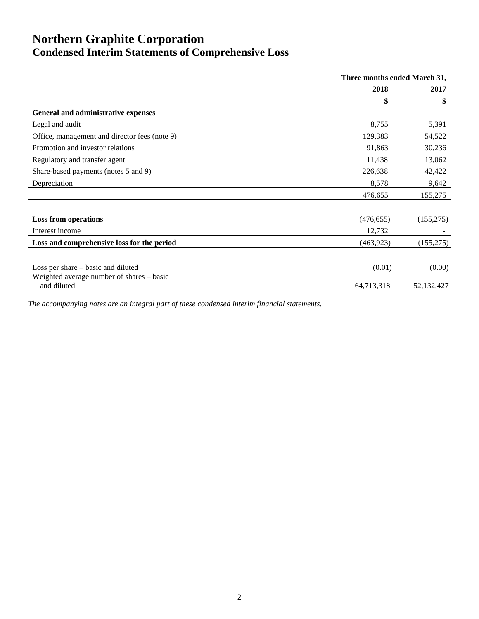### **Northern Graphite Corporation Condensed Interim Statements of Comprehensive Loss**

|                                               | Three months ended March 31, |              |
|-----------------------------------------------|------------------------------|--------------|
|                                               | 2018                         | 2017         |
|                                               | \$                           | \$           |
| General and administrative expenses           |                              |              |
| Legal and audit                               | 8,755                        | 5,391        |
| Office, management and director fees (note 9) | 129,383                      | 54,522       |
| Promotion and investor relations              | 91,863                       | 30,236       |
| Regulatory and transfer agent                 | 11,438                       | 13,062       |
| Share-based payments (notes 5 and 9)          | 226,638                      | 42,422       |
| Depreciation                                  | 8,578                        | 9,642        |
|                                               | 476,655                      | 155,275      |
|                                               |                              |              |
| <b>Loss from operations</b>                   | (476, 655)                   | (155, 275)   |
| Interest income                               | 12,732                       |              |
| Loss and comprehensive loss for the period    | (463,923)                    | (155, 275)   |
|                                               |                              |              |
| Loss per share – basic and diluted            | (0.01)                       | (0.00)       |
| Weighted average number of shares – basic     |                              |              |
| and diluted                                   | 64,713,318                   | 52, 132, 427 |

*The accompanying notes are an integral part of these condensed interim financial statements.*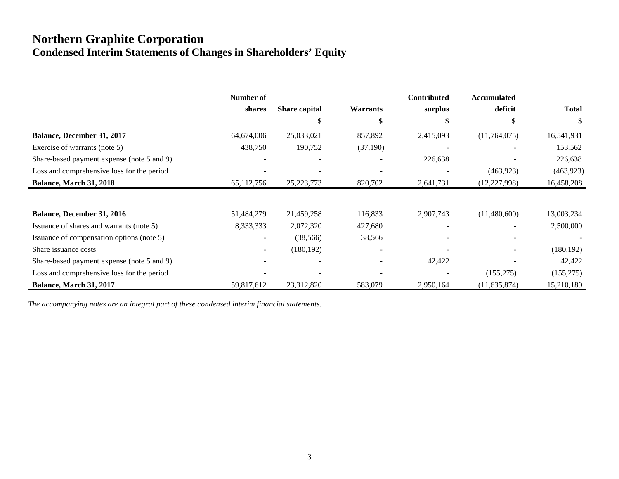### **Northern Graphite Corporation Condensed Interim Statements of Changes in Shareholders' Equity**

|                                            | Number of    |                      |                 | Contributed | <b>Accumulated</b> |              |
|--------------------------------------------|--------------|----------------------|-----------------|-------------|--------------------|--------------|
|                                            | shares       | <b>Share capital</b> | <b>Warrants</b> | surplus     | deficit            | <b>Total</b> |
|                                            |              | \$                   | \$              | \$          |                    | \$           |
| <b>Balance, December 31, 2017</b>          | 64,674,006   | 25,033,021           | 857,892         | 2,415,093   | (11,764,075)       | 16,541,931   |
| Exercise of warrants (note 5)              | 438,750      | 190,752              | (37,190)        |             |                    | 153,562      |
| Share-based payment expense (note 5 and 9) |              |                      |                 | 226,638     |                    | 226,638      |
| Loss and comprehensive loss for the period |              |                      |                 |             | (463, 923)         | (463, 923)   |
| Balance, March 31, 2018                    | 65, 112, 756 | 25, 223, 773         | 820,702         | 2,641,731   | (12, 227, 998)     | 16,458,208   |
|                                            |              |                      |                 |             |                    |              |
| Balance, December 31, 2016                 | 51,484,279   | 21,459,258           | 116,833         | 2,907,743   | (11,480,600)       | 13,003,234   |
| Issuance of shares and warrants (note 5)   | 8,333,333    | 2,072,320            | 427,680         |             |                    | 2,500,000    |
| Issuance of compensation options (note 5)  |              | (38, 566)            | 38,566          |             |                    |              |
| Share issuance costs                       |              | (180, 192)           |                 |             |                    | (180, 192)   |
| Share-based payment expense (note 5 and 9) |              |                      |                 | 42,422      |                    | 42,422       |
| Loss and comprehensive loss for the period |              |                      |                 |             | (155, 275)         | (155, 275)   |
| Balance, March 31, 2017                    | 59,817,612   | 23,312,820           | 583,079         | 2,950,164   | (11, 635, 874)     | 15,210,189   |

*The accompanying notes are an integral part of these condensed interim financial statements.*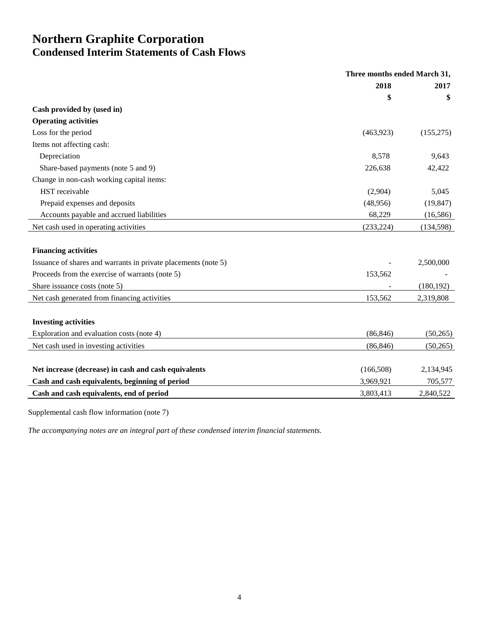### **Northern Graphite Corporation Condensed Interim Statements of Cash Flows**

|                                                                | Three months ended March 31, |            |
|----------------------------------------------------------------|------------------------------|------------|
|                                                                | 2018                         | 2017       |
|                                                                | \$                           | \$         |
| Cash provided by (used in)                                     |                              |            |
| <b>Operating activities</b>                                    |                              |            |
| Loss for the period                                            | (463,923)                    | (155, 275) |
| Items not affecting cash:                                      |                              |            |
| Depreciation                                                   | 8,578                        | 9,643      |
| Share-based payments (note 5 and 9)                            | 226,638                      | 42,422     |
| Change in non-cash working capital items:                      |                              |            |
| HST receivable                                                 | (2,904)                      | 5,045      |
| Prepaid expenses and deposits                                  | (48,956)                     | (19, 847)  |
| Accounts payable and accrued liabilities                       | 68,229                       | (16, 586)  |
| Net cash used in operating activities                          | (233, 224)                   | (134, 598) |
|                                                                |                              |            |
| <b>Financing activities</b>                                    |                              |            |
| Issuance of shares and warrants in private placements (note 5) |                              | 2,500,000  |
| Proceeds from the exercise of warrants (note 5)                | 153,562                      |            |
| Share issuance costs (note 5)                                  |                              | (180, 192) |
| Net cash generated from financing activities                   | 153,562                      | 2,319,808  |
|                                                                |                              |            |
| <b>Investing activities</b>                                    |                              |            |
| Exploration and evaluation costs (note 4)                      | (86, 846)                    | (50, 265)  |
| Net cash used in investing activities                          | (86, 846)                    | (50, 265)  |
|                                                                |                              |            |
| Net increase (decrease) in cash and cash equivalents           | (166,508)                    | 2,134,945  |
| Cash and cash equivalents, beginning of period                 | 3,969,921                    | 705,577    |
| Cash and cash equivalents, end of period                       | 3,803,413                    | 2,840,522  |
|                                                                |                              |            |

Supplemental cash flow information (note 7)

*The accompanying notes are an integral part of these condensed interim financial statements.*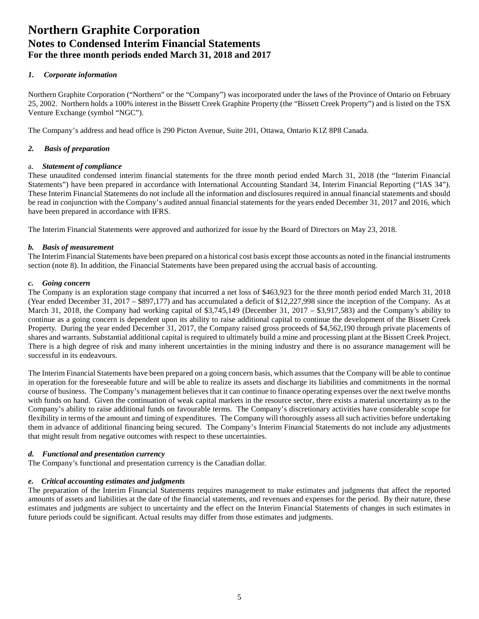### *1. Corporate information*

Northern Graphite Corporation ("Northern" or the "Company") was incorporated under the laws of the Province of Ontario on February 25, 2002. Northern holds a 100% interest in the Bissett Creek Graphite Property (the "Bissett Creek Property") and is listed on the TSX Venture Exchange (symbol "NGC").

The Company's address and head office is 290 Picton Avenue, Suite 201, Ottawa, Ontario K1Z 8P8 Canada.

### *2. Basis of preparation*

### a. *Statement of compliance*

These unaudited condensed interim financial statements for the three month period ended March 31, 2018 (the "Interim Financial Statements") have been prepared in accordance with International Accounting Standard 34, Interim Financial Reporting ("IAS 34"). These Interim Financial Statements do not include all the information and disclosures required in annual financial statements and should be read in conjunction with the Company's audited annual financial statements for the years ended December 31, 2017 and 2016, which have been prepared in accordance with IFRS.

The Interim Financial Statements were approved and authorized for issue by the Board of Directors on May 23, 2018.

### *b. Basis of measurement*

The Interim Financial Statements have been prepared on a historical cost basis except those accounts as noted in the financial instruments section (note 8). In addition, the Financial Statements have been prepared using the accrual basis of accounting.

### *c. Going concern*

The Company is an exploration stage company that incurred a net loss of \$463,923 for the three month period ended March 31, 2018 (Year ended December 31, 2017 – \$897,177) and has accumulated a deficit of \$12,227,998 since the inception of the Company. As at March 31, 2018, the Company had working capital of \$3,745,149 (December 31, 2017 – \$3,917,583) and the Company's ability to continue as a going concern is dependent upon its ability to raise additional capital to continue the development of the Bissett Creek Property. During the year ended December 31, 2017, the Company raised gross proceeds of \$4,562,190 through private placements of shares and warrants. Substantial additional capital is required to ultimately build a mine and processing plant at the Bissett Creek Project. There is a high degree of risk and many inherent uncertainties in the mining industry and there is no assurance management will be successful in its endeavours.

The Interim Financial Statements have been prepared on a going concern basis, which assumes that the Company will be able to continue in operation for the foreseeable future and will be able to realize its assets and discharge its liabilities and commitments in the normal course of business. The Company's management believes that it can continue to finance operating expenses over the next twelve months with funds on hand. Given the continuation of weak capital markets in the resource sector, there exists a material uncertainty as to the Company's ability to raise additional funds on favourable terms. The Company's discretionary activities have considerable scope for flexibility in terms of the amount and timing of expenditures. The Company will thoroughly assess all such activities before undertaking them in advance of additional financing being secured. The Company's Interim Financial Statements do not include any adjustments that might result from negative outcomes with respect to these uncertainties.

### *d. Functional and presentation currency*

The Company's functional and presentation currency is the Canadian dollar.

### *e. Critical accounting estimates and judgments*

The preparation of the Interim Financial Statements requires management to make estimates and judgments that affect the reported amounts of assets and liabilities at the date of the financial statements, and revenues and expenses for the period. By their nature, these estimates and judgments are subject to uncertainty and the effect on the Interim Financial Statements of changes in such estimates in future periods could be significant. Actual results may differ from those estimates and judgments.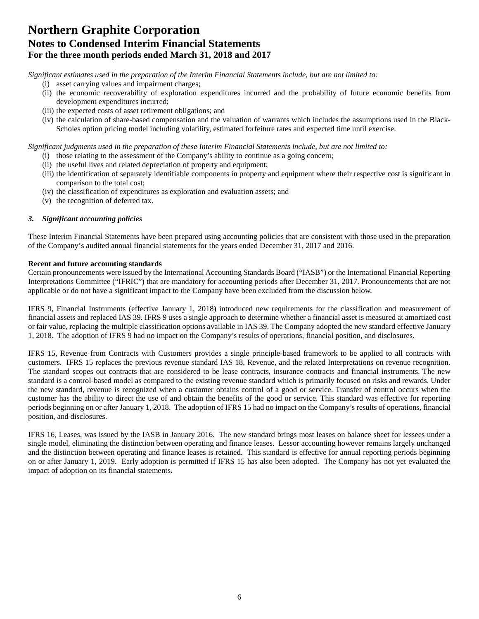*Significant estimates used in the preparation of the Interim Financial Statements include, but are not limited to:* 

- (i) asset carrying values and impairment charges;
- (ii) the economic recoverability of exploration expenditures incurred and the probability of future economic benefits from development expenditures incurred;
- (iii) the expected costs of asset retirement obligations; and
- (iv) the calculation of share-based compensation and the valuation of warrants which includes the assumptions used in the Black-Scholes option pricing model including volatility, estimated forfeiture rates and expected time until exercise.

*Significant judgments used in the preparation of these Interim Financial Statements include, but are not limited to:* 

- (i) those relating to the assessment of the Company's ability to continue as a going concern;
- (ii) the useful lives and related depreciation of property and equipment;
- (iii) the identification of separately identifiable components in property and equipment where their respective cost is significant in comparison to the total cost;
- (iv) the classification of expenditures as exploration and evaluation assets; and
- (v) the recognition of deferred tax.

### *3. Significant accounting policies*

These Interim Financial Statements have been prepared using accounting policies that are consistent with those used in the preparation of the Company's audited annual financial statements for the years ended December 31, 2017 and 2016.

### **Recent and future accounting standards**

Certain pronouncements were issued by the International Accounting Standards Board ("IASB") or the International Financial Reporting Interpretations Committee ("IFRIC") that are mandatory for accounting periods after December 31, 2017. Pronouncements that are not applicable or do not have a significant impact to the Company have been excluded from the discussion below.

IFRS 9, Financial Instruments (effective January 1, 2018) introduced new requirements for the classification and measurement of financial assets and replaced IAS 39. IFRS 9 uses a single approach to determine whether a financial asset is measured at amortized cost or fair value, replacing the multiple classification options available in IAS 39. The Company adopted the new standard effective January 1, 2018. The adoption of IFRS 9 had no impact on the Company's results of operations, financial position, and disclosures.

IFRS 15, Revenue from Contracts with Customers provides a single principle-based framework to be applied to all contracts with customers. IFRS 15 replaces the previous revenue standard IAS 18, Revenue, and the related Interpretations on revenue recognition. The standard scopes out contracts that are considered to be lease contracts, insurance contracts and financial instruments. The new standard is a control-based model as compared to the existing revenue standard which is primarily focused on risks and rewards. Under the new standard, revenue is recognized when a customer obtains control of a good or service. Transfer of control occurs when the customer has the ability to direct the use of and obtain the benefits of the good or service. This standard was effective for reporting periods beginning on or after January 1, 2018. The adoption of IFRS 15 had no impact on the Company's results of operations, financial position, and disclosures.

IFRS 16, Leases, was issued by the IASB in January 2016. The new standard brings most leases on balance sheet for lessees under a single model, eliminating the distinction between operating and finance leases. Lessor accounting however remains largely unchanged and the distinction between operating and finance leases is retained. This standard is effective for annual reporting periods beginning on or after January 1, 2019. Early adoption is permitted if IFRS 15 has also been adopted. The Company has not yet evaluated the impact of adoption on its financial statements.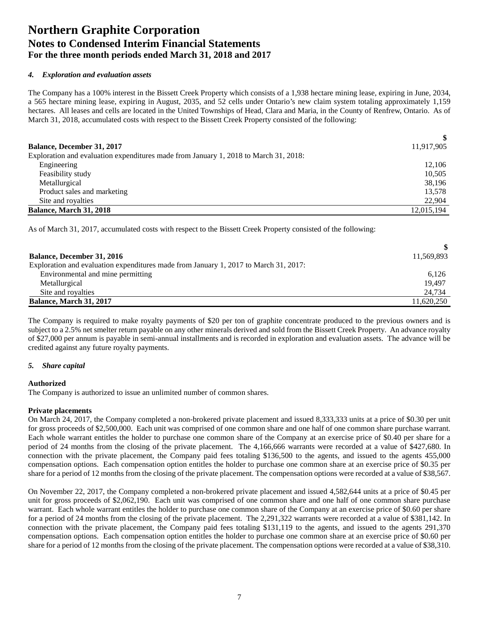### *4. Exploration and evaluation assets*

The Company has a 100% interest in the Bissett Creek Property which consists of a 1,938 hectare mining lease, expiring in June, 2034, a 565 hectare mining lease, expiring in August, 2035, and 52 cells under Ontario's new claim system totaling approximately 1,159 hectares. All leases and cells are located in the United Townships of Head, Clara and Maria, in the County of Renfrew, Ontario. As of March 31, 2018, accumulated costs with respect to the Bissett Creek Property consisted of the following:

| <b>Balance, December 31, 2017</b>                                                    | 11,917,905 |
|--------------------------------------------------------------------------------------|------------|
| Exploration and evaluation expenditures made from January 1, 2018 to March 31, 2018: |            |
| Engineering                                                                          | 12.106     |
| Feasibility study                                                                    | 10.505     |
| Metallurgical                                                                        | 38,196     |
| Product sales and marketing                                                          | 13.578     |
| Site and royalties                                                                   | 22,904     |
| <b>Balance, March 31, 2018</b>                                                       | 12,015,194 |

As of March 31, 2017, accumulated costs with respect to the Bissett Creek Property consisted of the following:

| <b>Balance, December 31, 2016</b>                                                    | 11,569,893 |
|--------------------------------------------------------------------------------------|------------|
| Exploration and evaluation expenditures made from January 1, 2017 to March 31, 2017: |            |
| Environmental and mine permitting                                                    | 6,126      |
| Metallurgical                                                                        | 19.497     |
| Site and royalties                                                                   | 24,734     |
| <b>Balance, March 31, 2017</b>                                                       | 11.620.250 |

The Company is required to make royalty payments of \$20 per ton of graphite concentrate produced to the previous owners and is subject to a 2.5% net smelter return payable on any other minerals derived and sold from the Bissett Creek Property. An advance royalty of \$27,000 per annum is payable in semi-annual installments and is recorded in exploration and evaluation assets. The advance will be credited against any future royalty payments.

### *5. Share capital*

#### **Authorized**

The Company is authorized to issue an unlimited number of common shares.

#### **Private placements**

On March 24, 2017, the Company completed a non-brokered private placement and issued 8,333,333 units at a price of \$0.30 per unit for gross proceeds of \$2,500,000. Each unit was comprised of one common share and one half of one common share purchase warrant. Each whole warrant entitles the holder to purchase one common share of the Company at an exercise price of \$0.40 per share for a period of 24 months from the closing of the private placement. The 4,166,666 warrants were recorded at a value of \$427,680. In connection with the private placement, the Company paid fees totaling \$136,500 to the agents, and issued to the agents 455,000 compensation options. Each compensation option entitles the holder to purchase one common share at an exercise price of \$0.35 per share for a period of 12 months from the closing of the private placement. The compensation options were recorded at a value of \$38,567.

On November 22, 2017, the Company completed a non-brokered private placement and issued 4,582,644 units at a price of \$0.45 per unit for gross proceeds of \$2,062,190. Each unit was comprised of one common share and one half of one common share purchase warrant. Each whole warrant entitles the holder to purchase one common share of the Company at an exercise price of \$0.60 per share for a period of 24 months from the closing of the private placement. The 2,291,322 warrants were recorded at a value of \$381,142. In connection with the private placement, the Company paid fees totaling \$131,119 to the agents, and issued to the agents 291,370 compensation options. Each compensation option entitles the holder to purchase one common share at an exercise price of \$0.60 per share for a period of 12 months from the closing of the private placement. The compensation options were recorded at a value of \$38,310.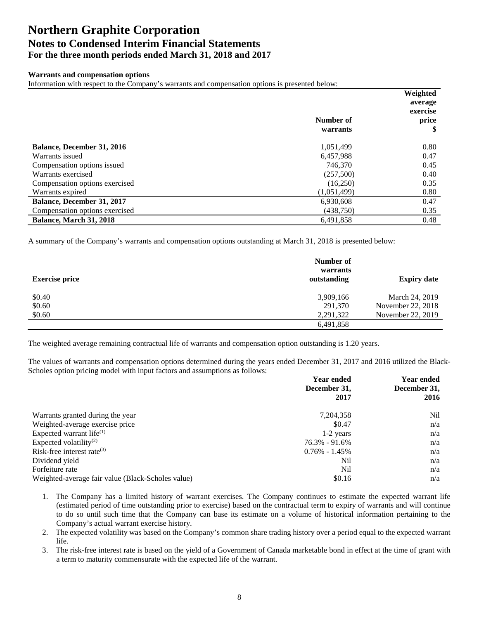### **Warrants and compensation options**

Information with respect to the Company's warrants and compensation options is presented below:

|                                   |             | Weighted |
|-----------------------------------|-------------|----------|
|                                   |             | average  |
|                                   |             | exercise |
|                                   | Number of   | price    |
|                                   | warrants    | \$       |
| <b>Balance, December 31, 2016</b> | 1,051,499   | 0.80     |
| Warrants issued                   | 6.457.988   | 0.47     |
| Compensation options issued       | 746,370     | 0.45     |
| Warrants exercised                | (257,500)   | 0.40     |
| Compensation options exercised    | (16,250)    | 0.35     |
| Warrants expired                  | (1,051,499) | 0.80     |
| <b>Balance, December 31, 2017</b> | 6,930,608   | 0.47     |
| Compensation options exercised    | (438,750)   | 0.35     |
| <b>Balance, March 31, 2018</b>    | 6,491,858   | 0.48     |

A summary of the Company's warrants and compensation options outstanding at March 31, 2018 is presented below:

| <b>Exercise price</b> | Number of<br>warrants<br>outstanding | <b>Expiry date</b> |
|-----------------------|--------------------------------------|--------------------|
| \$0.40                | 3,909,166                            | March 24, 2019     |
| \$0.60                | 291,370                              | November 22, 2018  |
| \$0.60                | 2,291,322                            | November 22, 2019  |
|                       | 6,491,858                            |                    |

The weighted average remaining contractual life of warrants and compensation option outstanding is 1.20 years.

The values of warrants and compensation options determined during the years ended December 31, 2017 and 2016 utilized the Black-Scholes option pricing model with input factors and assumptions as follows:

|                                                   | <b>Year ended</b> | <b>Year ended</b> |  |
|---------------------------------------------------|-------------------|-------------------|--|
|                                                   | December 31,      | December 31,      |  |
|                                                   | 2017              | 2016              |  |
| Warrants granted during the year                  | 7, 204, 358       | Nil               |  |
| Weighted-average exercise price                   | \$0.47            | n/a               |  |
| Expected warrant life $^{(1)}$                    | $1-2$ years       | n/a               |  |
| Expected volatility <sup>(2)</sup>                | $76.3\% - 91.6\%$ | n/a               |  |
| Risk-free interest rate $(3)$                     | $0.76\% - 1.45\%$ | n/a               |  |
| Dividend yield                                    | Nil               | n/a               |  |
| Forfeiture rate                                   | Nil               | n/a               |  |
| Weighted-average fair value (Black-Scholes value) | \$0.16            | n/a               |  |

- 1. The Company has a limited history of warrant exercises. The Company continues to estimate the expected warrant life (estimated period of time outstanding prior to exercise) based on the contractual term to expiry of warrants and will continue to do so until such time that the Company can base its estimate on a volume of historical information pertaining to the Company's actual warrant exercise history.
- 2. The expected volatility was based on the Company's common share trading history over a period equal to the expected warrant life.
- 3. The risk-free interest rate is based on the yield of a Government of Canada marketable bond in effect at the time of grant with a term to maturity commensurate with the expected life of the warrant.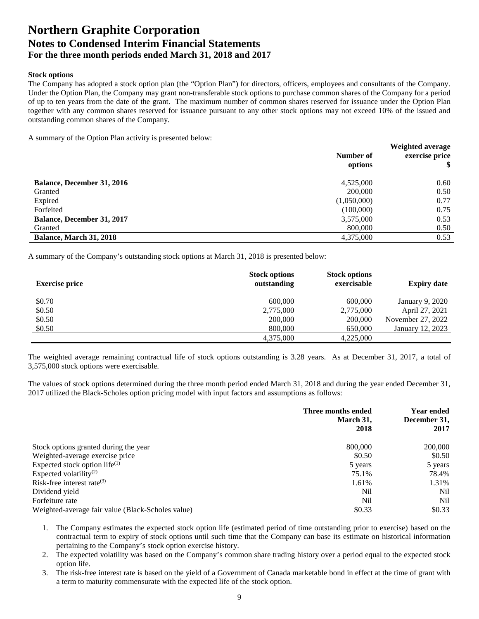#### **Stock options**

The Company has adopted a stock option plan (the "Option Plan") for directors, officers, employees and consultants of the Company. Under the Option Plan, the Company may grant non-transferable stock options to purchase common shares of the Company for a period of up to ten years from the date of the grant. The maximum number of common shares reserved for issuance under the Option Plan together with any common shares reserved for issuance pursuant to any other stock options may not exceed 10% of the issued and outstanding common shares of the Company.

A summary of the Option Plan activity is presented below:

|                                   | Number of<br>options | Weighted average<br>exercise price<br>\$ |
|-----------------------------------|----------------------|------------------------------------------|
| <b>Balance, December 31, 2016</b> | 4,525,000            | 0.60                                     |
| Granted                           | 200,000              | 0.50                                     |
| Expired                           | (1,050,000)          | 0.77                                     |
| Forfeited                         | (100,000)            | 0.75                                     |
| <b>Balance, December 31, 2017</b> | 3,575,000            | 0.53                                     |
| Granted                           | 800,000              | 0.50                                     |
| <b>Balance, March 31, 2018</b>    | 4,375,000            | 0.53                                     |

A summary of the Company's outstanding stock options at March 31, 2018 is presented below:

| <b>Exercise price</b> | <b>Stock options</b><br>outstanding | <b>Stock options</b><br>exercisable | <b>Expiry date</b> |
|-----------------------|-------------------------------------|-------------------------------------|--------------------|
| \$0.70                | 600,000                             | 600,000                             | January 9, 2020    |
| \$0.50                | 2,775,000                           | 2,775,000                           | April 27, 2021     |
| \$0.50                | 200,000                             | 200,000                             | November 27, 2022  |
| \$0.50                | 800,000                             | 650,000                             | January 12, 2023   |
|                       | 4.375.000                           | 4.225,000                           |                    |

The weighted average remaining contractual life of stock options outstanding is 3.28 years. As at December 31, 2017, a total of 3,575,000 stock options were exercisable.

The values of stock options determined during the three month period ended March 31, 2018 and during the year ended December 31, 2017 utilized the Black-Scholes option pricing model with input factors and assumptions as follows:

|                                                   | Three months ended<br>March 31,<br>2018 | <b>Year ended</b><br>December 31,<br>2017 |
|---------------------------------------------------|-----------------------------------------|-------------------------------------------|
| Stock options granted during the year             | 800,000                                 | 200,000                                   |
| Weighted-average exercise price                   | \$0.50                                  | \$0.50                                    |
| Expected stock option life $^{(1)}$               | 5 years                                 | 5 years                                   |
| Expected volatility <sup>(2)</sup>                | 75.1%                                   | 78.4%                                     |
| Risk-free interest rate $(3)$                     | 1.61%                                   | 1.31%                                     |
| Dividend yield                                    | Nil                                     | Nil                                       |
| Forfeiture rate                                   | Nil                                     | Nil                                       |
| Weighted-average fair value (Black-Scholes value) | \$0.33                                  | \$0.33                                    |

1. The Company estimates the expected stock option life (estimated period of time outstanding prior to exercise) based on the contractual term to expiry of stock options until such time that the Company can base its estimate on historical information pertaining to the Company's stock option exercise history.

- 2. The expected volatility was based on the Company's common share trading history over a period equal to the expected stock option life.
- 3. The risk-free interest rate is based on the yield of a Government of Canada marketable bond in effect at the time of grant with a term to maturity commensurate with the expected life of the stock option.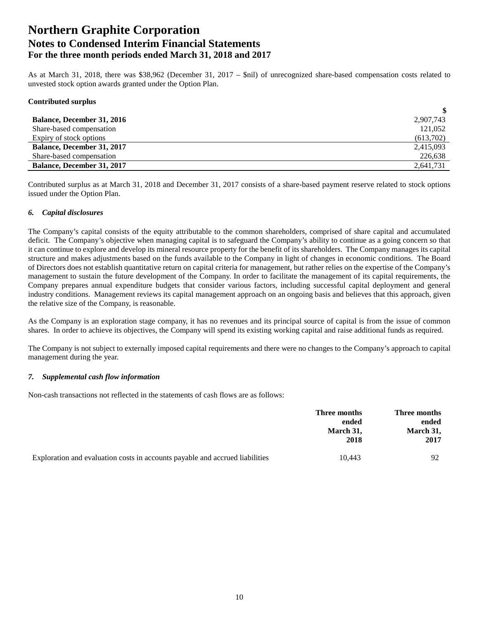As at March 31, 2018, there was \$38,962 (December 31, 2017 – \$nil) of unrecognized share-based compensation costs related to unvested stock option awards granted under the Option Plan.

### **Contributed surplus**

| <b>Balance, December 31, 2016</b> | 2,907,743 |
|-----------------------------------|-----------|
| Share-based compensation          | 121,052   |
| Expiry of stock options           | (613,702) |
| <b>Balance, December 31, 2017</b> | 2,415,093 |
| Share-based compensation          | 226,638   |
| <b>Balance, December 31, 2017</b> | 2,641,731 |

Contributed surplus as at March 31, 2018 and December 31, 2017 consists of a share-based payment reserve related to stock options issued under the Option Plan.

### *6. Capital disclosures*

The Company's capital consists of the equity attributable to the common shareholders, comprised of share capital and accumulated deficit. The Company's objective when managing capital is to safeguard the Company's ability to continue as a going concern so that it can continue to explore and develop its mineral resource property for the benefit of its shareholders. The Company manages its capital structure and makes adjustments based on the funds available to the Company in light of changes in economic conditions. The Board of Directors does not establish quantitative return on capital criteria for management, but rather relies on the expertise of the Company's management to sustain the future development of the Company. In order to facilitate the management of its capital requirements, the Company prepares annual expenditure budgets that consider various factors, including successful capital deployment and general industry conditions. Management reviews its capital management approach on an ongoing basis and believes that this approach, given the relative size of the Company, is reasonable.

As the Company is an exploration stage company, it has no revenues and its principal source of capital is from the issue of common shares. In order to achieve its objectives, the Company will spend its existing working capital and raise additional funds as required.

The Company is not subject to externally imposed capital requirements and there were no changes to the Company's approach to capital management during the year.

#### *7. Supplemental cash flow information*

Non-cash transactions not reflected in the statements of cash flows are as follows:

|                                                                              | Three months<br>ended | Three months<br>ended |  |
|------------------------------------------------------------------------------|-----------------------|-----------------------|--|
|                                                                              | March 31,<br>2018     | March 31,<br>2017     |  |
| Exploration and evaluation costs in accounts payable and accrued liabilities | 10.443                | 92                    |  |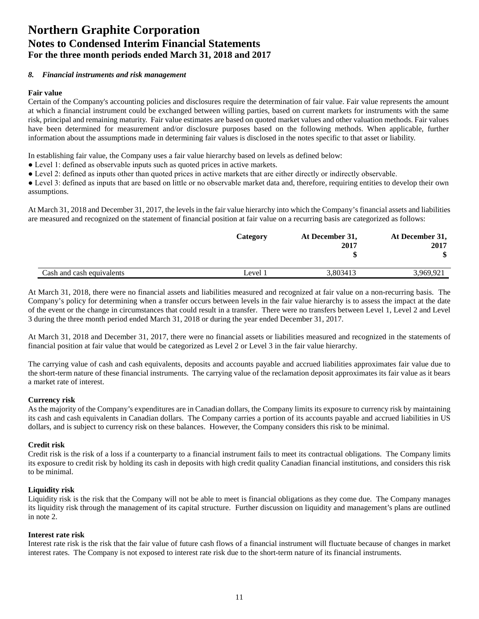### *8. Financial instruments and risk management*

#### **Fair value**

Certain of the Company's accounting policies and disclosures require the determination of fair value. Fair value represents the amount at which a financial instrument could be exchanged between willing parties, based on current markets for instruments with the same risk, principal and remaining maturity. Fair value estimates are based on quoted market values and other valuation methods. Fair values have been determined for measurement and/or disclosure purposes based on the following methods. When applicable, further information about the assumptions made in determining fair values is disclosed in the notes specific to that asset or liability.

In establishing fair value, the Company uses a fair value hierarchy based on levels as defined below:

- Level 1: defined as observable inputs such as quoted prices in active markets.
- Level 2: defined as inputs other than quoted prices in active markets that are either directly or indirectly observable.

● Level 3: defined as inputs that are based on little or no observable market data and, therefore, requiring entities to develop their own assumptions.

At March 31, 2018 and December 31, 2017, the levels in the fair value hierarchy into which the Company's financial assets and liabilities are measured and recognized on the statement of financial position at fair value on a recurring basis are categorized as follows:

|                           | Category | At December 31,<br>2017 | At December 31,<br>2017 |
|---------------------------|----------|-------------------------|-------------------------|
| Cash and cash equivalents | Level 1  | 3.803413                | 3,969,921               |

At March 31, 2018, there were no financial assets and liabilities measured and recognized at fair value on a non-recurring basis. The Company's policy for determining when a transfer occurs between levels in the fair value hierarchy is to assess the impact at the date of the event or the change in circumstances that could result in a transfer. There were no transfers between Level 1, Level 2 and Level 3 during the three month period ended March 31, 2018 or during the year ended December 31, 2017.

At March 31, 2018 and December 31, 2017, there were no financial assets or liabilities measured and recognized in the statements of financial position at fair value that would be categorized as Level 2 or Level 3 in the fair value hierarchy.

The carrying value of cash and cash equivalents, deposits and accounts payable and accrued liabilities approximates fair value due to the short-term nature of these financial instruments. The carrying value of the reclamation deposit approximates its fair value as it bears a market rate of interest.

### **Currency risk**

As the majority of the Company's expenditures are in Canadian dollars, the Company limits its exposure to currency risk by maintaining its cash and cash equivalents in Canadian dollars. The Company carries a portion of its accounts payable and accrued liabilities in US dollars, and is subject to currency risk on these balances. However, the Company considers this risk to be minimal.

### **Credit risk**

Credit risk is the risk of a loss if a counterparty to a financial instrument fails to meet its contractual obligations. The Company limits its exposure to credit risk by holding its cash in deposits with high credit quality Canadian financial institutions, and considers this risk to be minimal.

#### **Liquidity risk**

Liquidity risk is the risk that the Company will not be able to meet is financial obligations as they come due. The Company manages its liquidity risk through the management of its capital structure. Further discussion on liquidity and management's plans are outlined in note 2.

#### **Interest rate risk**

Interest rate risk is the risk that the fair value of future cash flows of a financial instrument will fluctuate because of changes in market interest rates. The Company is not exposed to interest rate risk due to the short-term nature of its financial instruments.